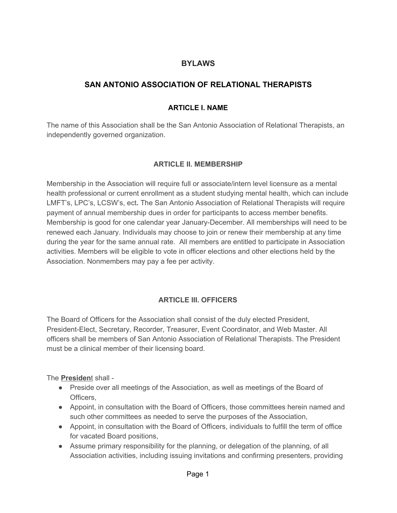### **BYLAWS**

# **SAN ANTONIO ASSOCIATION OF RELATIONAL THERAPISTS**

#### **ARTICLE I. NAME**

The name of this Association shall be the San Antonio Association of Relational Therapists, an independently governed organization.

#### **ARTICLE II. MEMBERSHIP**

Membership in the Association will require full or associate/intern level licensure as a mental health professional or current enrollment as a student studying mental health, which can include LMFT's, LPC's, LCSW's, ect**.** The San Antonio Association of Relational Therapists will require payment of annual membership dues in order for participants to access member benefits. Membership is good for one calendar year January-December. All memberships will need to be renewed each January. Individuals may choose to join or renew their membership at any time during the year for the same annual rate. All members are entitled to participate in Association activities. Members will be eligible to vote in officer elections and other elections held by the Association. Nonmembers may pay a fee per activity.

### **ARTICLE III. OFFICERS**

The Board of Officers for the Association shall consist of the duly elected President, President-Elect, Secretary, Recorder, Treasurer, Event Coordinator, and Web Master. All officers shall be members of San Antonio Association of Relational Therapists. The President must be a clinical member of their licensing board.

The **Presiden**t shall -

- Preside over all meetings of the Association, as well as meetings of the Board of Officers,
- Appoint, in consultation with the Board of Officers, those committees herein named and such other committees as needed to serve the purposes of the Association,
- Appoint, in consultation with the Board of Officers, individuals to fulfill the term of office for vacated Board positions,
- Assume primary responsibility for the planning, or delegation of the planning, of all Association activities, including issuing invitations and confirming presenters, providing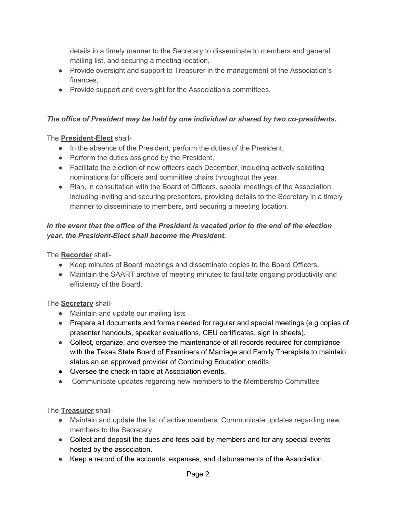details in a timely manner to the Secretary to disseminate to members and general mailing list, and securing a meeting location,

- Provide oversight and support to Treasurer in the management of the Association's finances,
- Provide support and oversight for the Association's committees.

## *The office of President may be held by one individual or shared by two co-presidents.*

## The **President-Elect** shall-

- In the absence of the President, perform the duties of the President,
- Perform the duties assigned by the President,
- Facilitate the election of new officers each December, including actively soliciting nominations for officers and committee chairs throughout the year,
- Plan, in consultation with the Board of Officers, special meetings of the Association, including inviting and securing presenters, providing details to the Secretary in a timely manner to disseminate to members, and securing a meeting location.

## *In the event that the office of the President is vacated prior to the end of the election year, the President-Elect shall become the President.*

The **Recorder** shall-

- Keep minutes of Board meetings and disseminate copies to the Board Officers.
- Maintain the SAART archive of meeting minutes to facilitate ongoing productivity and efficiency of the Board.

# The **Secretary** shall-

- Maintain and update our mailing lists
- Prepare all documents and forms needed for regular and special meetings (e.g copies of presenter handouts, speaker evaluations, CEU certificates, sign in sheets).
- Collect, organize, and oversee the maintenance of all records required for compliance with the Texas State Board of Examiners of Marriage and Family Therapists to maintain status an an approved provider of Continuing Education credits.
- Oversee the check-in table at Association events.
- Communicate updates regarding new members to the Membership Committee

The **Treasurer** shall-

- Maintain and update the list of active members. Communicate updates regarding new members to the Secretary.
- Collect and deposit the dues and fees paid by members and for any special events hosted by the association.
- Keep a record of the accounts, expenses, and disbursements of the Association.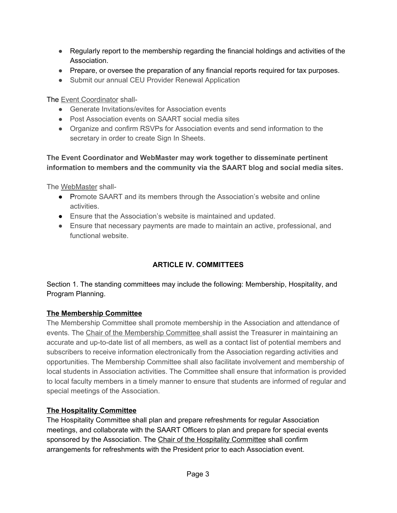- Regularly report to the membership regarding the financial holdings and activities of the Association.
- Prepare, or oversee the preparation of any financial reports required for tax purposes.
- Submit our annual CEU Provider Renewal Application

The Event Coordinator shall-

- Generate Invitations/evites for Association events
- Post Association events on SAART social media sites
- Organize and confirm RSVPs for Association events and send information to the secretary in order to create Sign In Sheets.

**The Event Coordinator and WebMaster may work together to disseminate pertinent information to members and the community via the SAART blog and social media sites.**

The WebMaster shall-

- Promote SAART and its members through the Association's website and online activities.
- Ensure that the Association's website is maintained and updated.
- Ensure that necessary payments are made to maintain an active, professional, and functional website.

# **ARTICLE IV. COMMITTEES**

Section 1. The standing committees may include the following: Membership, Hospitality, and Program Planning.

#### **The Membership Committee**

The Membership Committee shall promote membership in the Association and attendance of events. The Chair of the Membership Committee shall assist the Treasurer in maintaining an accurate and up-to-date list of all members, as well as a contact list of potential members and subscribers to receive information electronically from the Association regarding activities and opportunities. The Membership Committee shall also facilitate involvement and membership of local students in Association activities. The Committee shall ensure that information is provided to local faculty members in a timely manner to ensure that students are informed of regular and special meetings of the Association.

### **The Hospitality Committee**

The Hospitality Committee shall plan and prepare refreshments for regular Association meetings, and collaborate with the SAART Officers to plan and prepare for special events sponsored by the Association. The Chair of the Hospitality Committee shall confirm arrangements for refreshments with the President prior to each Association event.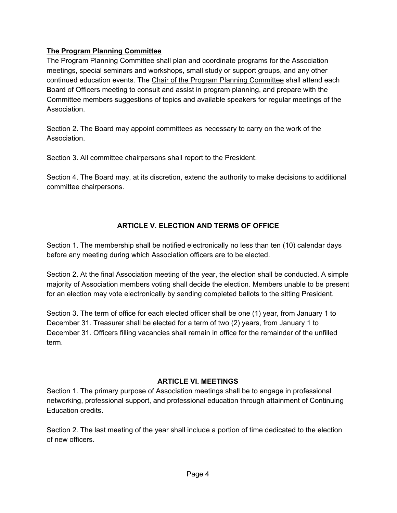#### **The Program Planning Committee**

The Program Planning Committee shall plan and coordinate programs for the Association meetings, special seminars and workshops, small study or support groups, and any other continued education events. The Chair of the Program Planning Committee shall attend each Board of Officers meeting to consult and assist in program planning, and prepare with the Committee members suggestions of topics and available speakers for regular meetings of the Association.

Section 2. The Board may appoint committees as necessary to carry on the work of the Association.

Section 3. All committee chairpersons shall report to the President.

Section 4. The Board may, at its discretion, extend the authority to make decisions to additional committee chairpersons.

## **ARTICLE V. ELECTION AND TERMS OF OFFICE**

Section 1. The membership shall be notified electronically no less than ten (10) calendar days before any meeting during which Association officers are to be elected.

Section 2. At the final Association meeting of the year, the election shall be conducted. A simple majority of Association members voting shall decide the election. Members unable to be present for an election may vote electronically by sending completed ballots to the sitting President.

Section 3. The term of office for each elected officer shall be one (1) year, from January 1 to December 31. Treasurer shall be elected for a term of two (2) years, from January 1 to December 31. Officers filling vacancies shall remain in office for the remainder of the unfilled term.

### **ARTICLE VI. MEETINGS**

Section 1. The primary purpose of Association meetings shall be to engage in professional networking, professional support, and professional education through attainment of Continuing Education credits.

Section 2. The last meeting of the year shall include a portion of time dedicated to the election of new officers.